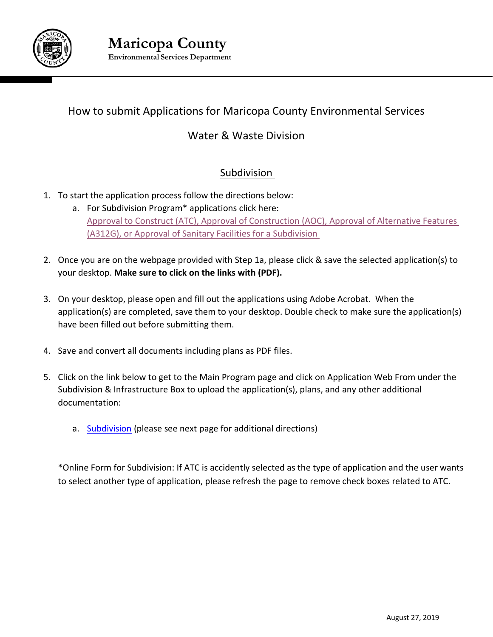

# How to submit Applications for Maricopa County Environmental Services

# Water & Waste Division

# Subdivision

- 1. To start the application process follow the directions below:
	- a. For Subdivision Program\* applications click here: Approval to Construct (ATC), Approval of Construction (AOC), [Approval of Alternative Features](https://www.maricopa.gov/2589/Forms-Applications) [\(A312G\), or Approval of Sanitary Facilities](https://www.maricopa.gov/2589/Forms-Applications) for a Subdivision
- 2. Once you are on the webpage provided with Step 1a, please click & save the selected application(s) to your desktop. **Make sure to click on the links with (PDF).**
- 3. On your desktop, please open and fill out the applications using Adobe Acrobat. When the application(s) are completed, save them to your desktop. Double check to make sure the application(s) have been filled out before submitting them.
- 4. Save and convert all documents including plans as PDF files.
- 5. Click on the link below to get to the Main Program page and click on Application Web From under the Subdivision & Infrastructure Box to upload the application(s), plans, and any other additional documentation:
	- a. [Subdivision](https://www.maricopa.gov/3980/Water-Sewage-Stormwater-Waste) (please see next page for additional directions)

\*Online Form for Subdivision: If ATC is accidently selected as the type of application and the user wants to select another type of application, please refresh the page to remove check boxes related to ATC.